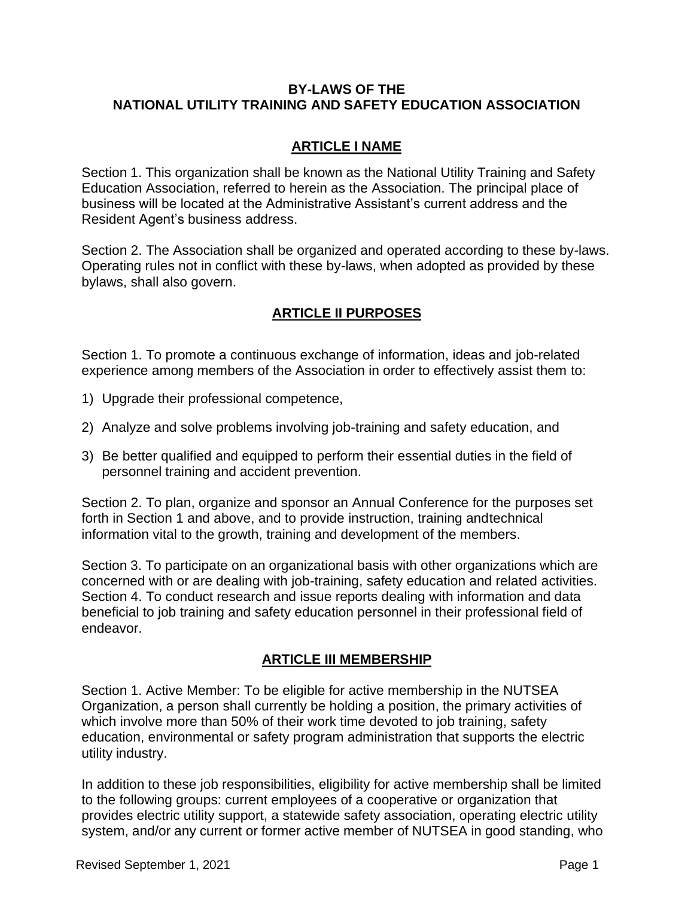#### **BY-LAWS OF THE NATIONAL UTILITY TRAINING AND SAFETY EDUCATION ASSOCIATION**

#### **ARTICLE I NAME**

Section 1. This organization shall be known as the National Utility Training and Safety Education Association, referred to herein as the Association. The principal place of business will be located at the Administrative Assistant's current address and the Resident Agent's business address.

Section 2. The Association shall be organized and operated according to these by-laws. Operating rules not in conflict with these by-laws, when adopted as provided by these bylaws, shall also govern.

## **ARTICLE II PURPOSES**

Section 1. To promote a continuous exchange of information, ideas and job-related experience among members of the Association in order to effectively assist them to:

- 1) Upgrade their professional competence,
- 2) Analyze and solve problems involving job-training and safety education, and
- 3) Be better qualified and equipped to perform their essential duties in the field of personnel training and accident prevention.

Section 2. To plan, organize and sponsor an Annual Conference for the purposes set forth in Section 1 and above, and to provide instruction, training andtechnical information vital to the growth, training and development of the members.

Section 3. To participate on an organizational basis with other organizations which are concerned with or are dealing with job-training, safety education and related activities. Section 4. To conduct research and issue reports dealing with information and data beneficial to job training and safety education personnel in their professional field of endeavor.

#### **ARTICLE III MEMBERSHIP**

Section 1. Active Member: To be eligible for active membership in the NUTSEA Organization, a person shall currently be holding a position, the primary activities of which involve more than 50% of their work time devoted to job training, safety education, environmental or safety program administration that supports the electric utility industry.

In addition to these job responsibilities, eligibility for active membership shall be limited to the following groups: current employees of a cooperative or organization that provides electric utility support, a statewide safety association, operating electric utility system, and/or any current or former active member of NUTSEA in good standing, who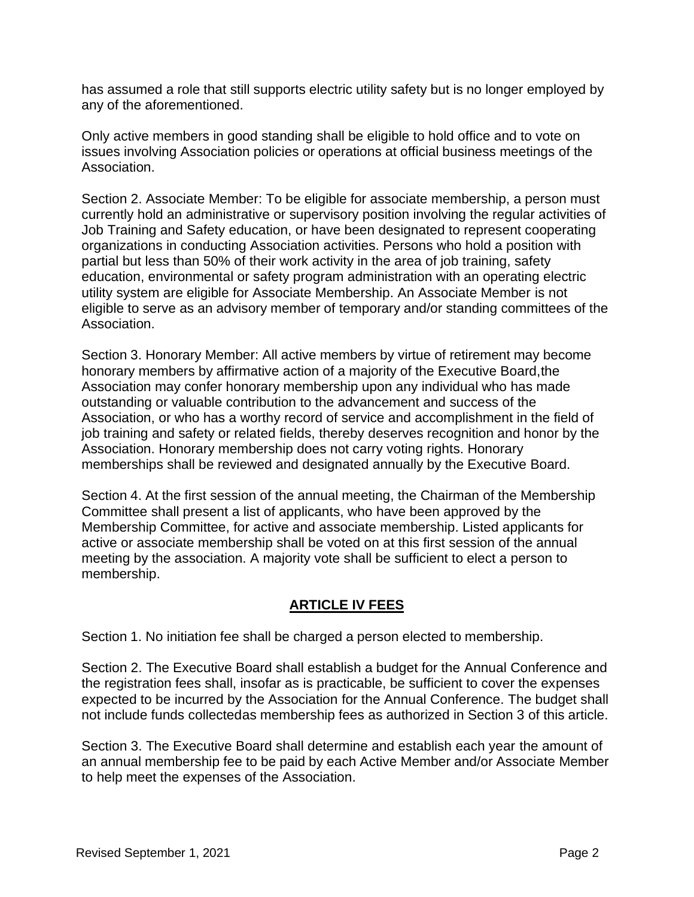has assumed a role that still supports electric utility safety but is no longer employed by any of the aforementioned.

Only active members in good standing shall be eligible to hold office and to vote on issues involving Association policies or operations at official business meetings of the Association.

Section 2. Associate Member: To be eligible for associate membership, a person must currently hold an administrative or supervisory position involving the regular activities of Job Training and Safety education, or have been designated to represent cooperating organizations in conducting Association activities. Persons who hold a position with partial but less than 50% of their work activity in the area of job training, safety education, environmental or safety program administration with an operating electric utility system are eligible for Associate Membership. An Associate Member is not eligible to serve as an advisory member of temporary and/or standing committees of the Association.

Section 3. Honorary Member: All active members by virtue of retirement may become honorary members by affirmative action of a majority of the Executive Board,the Association may confer honorary membership upon any individual who has made outstanding or valuable contribution to the advancement and success of the Association, or who has a worthy record of service and accomplishment in the field of job training and safety or related fields, thereby deserves recognition and honor by the Association. Honorary membership does not carry voting rights. Honorary memberships shall be reviewed and designated annually by the Executive Board.

Section 4. At the first session of the annual meeting, the Chairman of the Membership Committee shall present a list of applicants, who have been approved by the Membership Committee, for active and associate membership. Listed applicants for active or associate membership shall be voted on at this first session of the annual meeting by the association. A majority vote shall be sufficient to elect a person to membership.

## **ARTICLE IV FEES**

Section 1. No initiation fee shall be charged a person elected to membership.

Section 2. The Executive Board shall establish a budget for the Annual Conference and the registration fees shall, insofar as is practicable, be sufficient to cover the expenses expected to be incurred by the Association for the Annual Conference. The budget shall not include funds collectedas membership fees as authorized in Section 3 of this article.

Section 3. The Executive Board shall determine and establish each year the amount of an annual membership fee to be paid by each Active Member and/or Associate Member to help meet the expenses of the Association.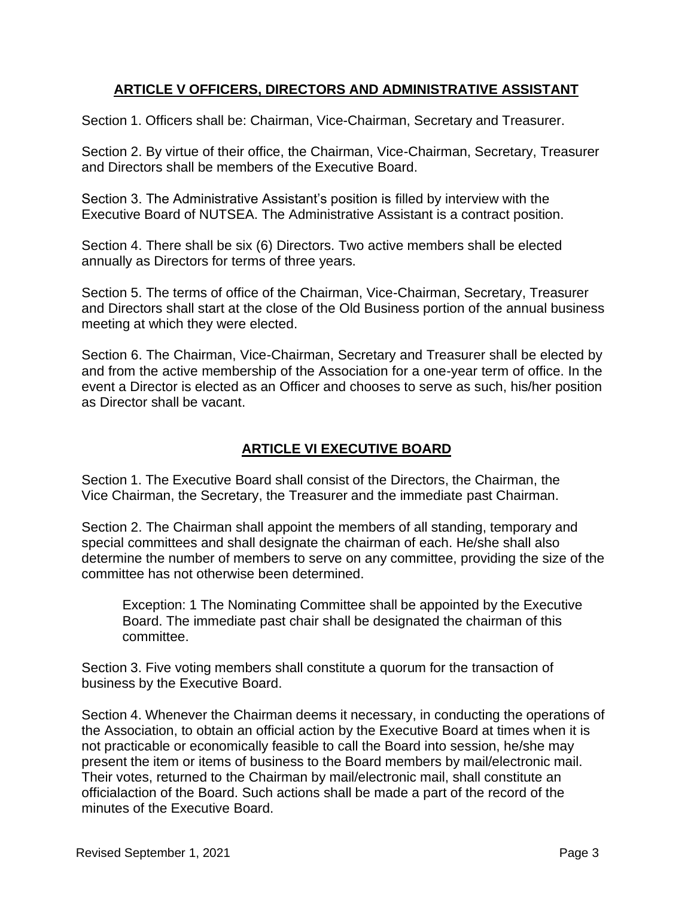#### **ARTICLE V OFFICERS, DIRECTORS AND ADMINISTRATIVE ASSISTANT**

Section 1. Officers shall be: Chairman, Vice-Chairman, Secretary and Treasurer.

Section 2. By virtue of their office, the Chairman, Vice-Chairman, Secretary, Treasurer and Directors shall be members of the Executive Board.

Section 3. The Administrative Assistant's position is filled by interview with the Executive Board of NUTSEA. The Administrative Assistant is a contract position.

Section 4. There shall be six (6) Directors. Two active members shall be elected annually as Directors for terms of three years.

Section 5. The terms of office of the Chairman, Vice-Chairman, Secretary, Treasurer and Directors shall start at the close of the Old Business portion of the annual business meeting at which they were elected.

Section 6. The Chairman, Vice-Chairman, Secretary and Treasurer shall be elected by and from the active membership of the Association for a one-year term of office. In the event a Director is elected as an Officer and chooses to serve as such, his/her position as Director shall be vacant.

## **ARTICLE VI EXECUTIVE BOARD**

Section 1. The Executive Board shall consist of the Directors, the Chairman, the Vice Chairman, the Secretary, the Treasurer and the immediate past Chairman.

Section 2. The Chairman shall appoint the members of all standing, temporary and special committees and shall designate the chairman of each. He/she shall also determine the number of members to serve on any committee, providing the size of the committee has not otherwise been determined.

Exception: 1 The Nominating Committee shall be appointed by the Executive Board. The immediate past chair shall be designated the chairman of this committee.

Section 3. Five voting members shall constitute a quorum for the transaction of business by the Executive Board.

Section 4. Whenever the Chairman deems it necessary, in conducting the operations of the Association, to obtain an official action by the Executive Board at times when it is not practicable or economically feasible to call the Board into session, he/she may present the item or items of business to the Board members by mail/electronic mail. Their votes, returned to the Chairman by mail/electronic mail, shall constitute an officialaction of the Board. Such actions shall be made a part of the record of the minutes of the Executive Board.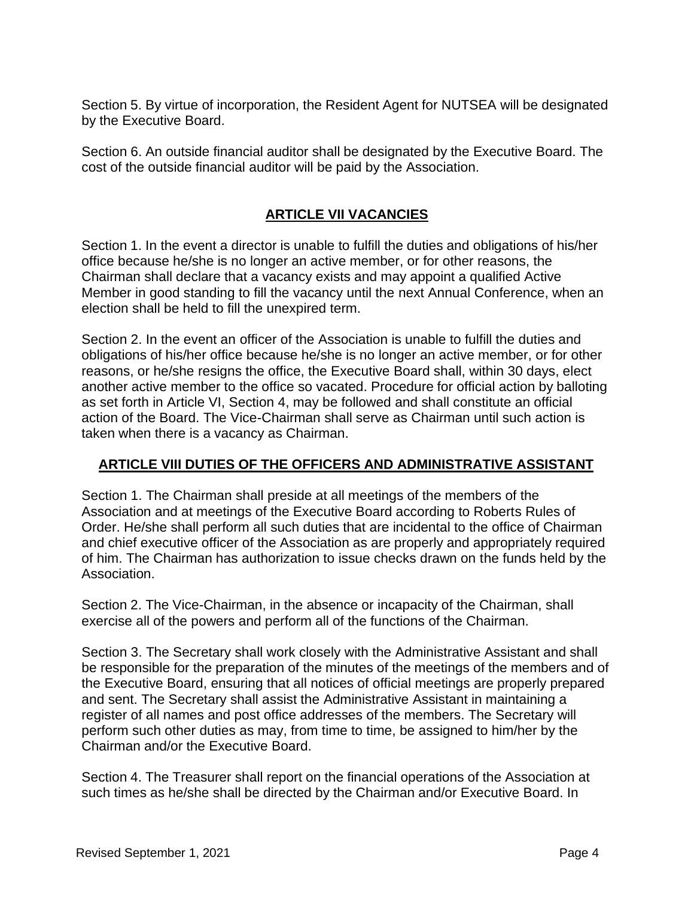Section 5. By virtue of incorporation, the Resident Agent for NUTSEA will be designated by the Executive Board.

Section 6. An outside financial auditor shall be designated by the Executive Board. The cost of the outside financial auditor will be paid by the Association.

# **ARTICLE VII VACANCIES**

Section 1. In the event a director is unable to fulfill the duties and obligations of his/her office because he/she is no longer an active member, or for other reasons, the Chairman shall declare that a vacancy exists and may appoint a qualified Active Member in good standing to fill the vacancy until the next Annual Conference, when an election shall be held to fill the unexpired term.

Section 2. In the event an officer of the Association is unable to fulfill the duties and obligations of his/her office because he/she is no longer an active member, or for other reasons, or he/she resigns the office, the Executive Board shall, within 30 days, elect another active member to the office so vacated. Procedure for official action by balloting as set forth in Article VI, Section 4, may be followed and shall constitute an official action of the Board. The Vice-Chairman shall serve as Chairman until such action is taken when there is a vacancy as Chairman.

## **ARTICLE VIII DUTIES OF THE OFFICERS AND ADMINISTRATIVE ASSISTANT**

Section 1. The Chairman shall preside at all meetings of the members of the Association and at meetings of the Executive Board according to Roberts Rules of Order. He/she shall perform all such duties that are incidental to the office of Chairman and chief executive officer of the Association as are properly and appropriately required of him. The Chairman has authorization to issue checks drawn on the funds held by the Association.

Section 2. The Vice-Chairman, in the absence or incapacity of the Chairman, shall exercise all of the powers and perform all of the functions of the Chairman.

Section 3. The Secretary shall work closely with the Administrative Assistant and shall be responsible for the preparation of the minutes of the meetings of the members and of the Executive Board, ensuring that all notices of official meetings are properly prepared and sent. The Secretary shall assist the Administrative Assistant in maintaining a register of all names and post office addresses of the members. The Secretary will perform such other duties as may, from time to time, be assigned to him/her by the Chairman and/or the Executive Board.

Section 4. The Treasurer shall report on the financial operations of the Association at such times as he/she shall be directed by the Chairman and/or Executive Board. In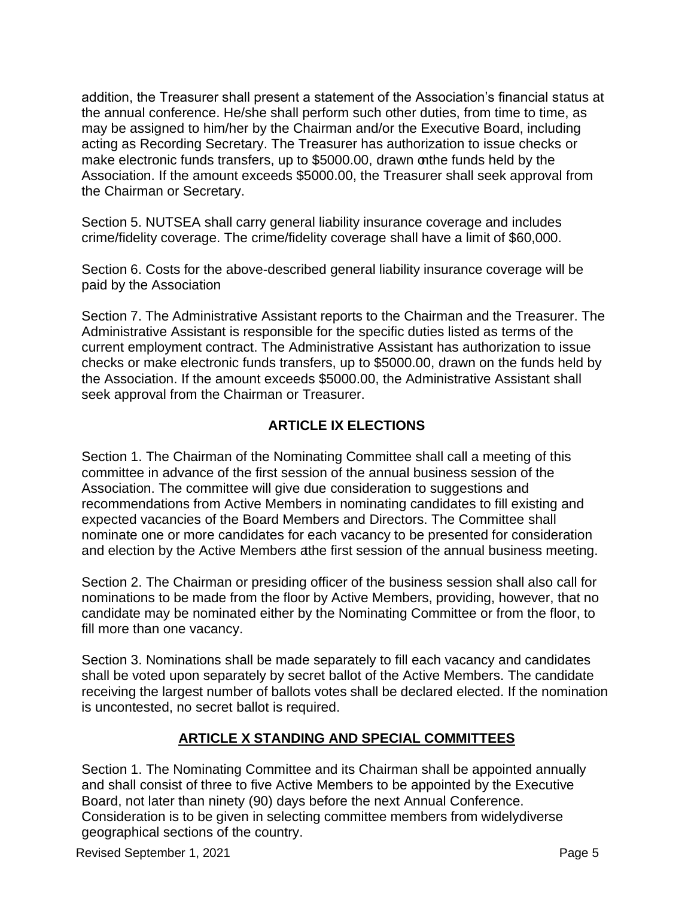addition, the Treasurer shall present a statement of the Association's financial status at the annual conference. He/she shall perform such other duties, from time to time, as may be assigned to him/her by the Chairman and/or the Executive Board, including acting as Recording Secretary. The Treasurer has authorization to issue checks or make electronic funds transfers, up to \$5000.00, drawn onthe funds held by the Association. If the amount exceeds \$5000.00, the Treasurer shall seek approval from the Chairman or Secretary.

Section 5. NUTSEA shall carry general liability insurance coverage and includes crime/fidelity coverage. The crime/fidelity coverage shall have a limit of \$60,000.

Section 6. Costs for the above-described general liability insurance coverage will be paid by the Association

Section 7. The Administrative Assistant reports to the Chairman and the Treasurer. The Administrative Assistant is responsible for the specific duties listed as terms of the current employment contract. The Administrative Assistant has authorization to issue checks or make electronic funds transfers, up to \$5000.00, drawn on the funds held by the Association. If the amount exceeds \$5000.00, the Administrative Assistant shall seek approval from the Chairman or Treasurer.

## **ARTICLE IX ELECTIONS**

Section 1. The Chairman of the Nominating Committee shall call a meeting of this committee in advance of the first session of the annual business session of the Association. The committee will give due consideration to suggestions and recommendations from Active Members in nominating candidates to fill existing and expected vacancies of the Board Members and Directors. The Committee shall nominate one or more candidates for each vacancy to be presented for consideration and election by the Active Members atthe first session of the annual business meeting.

Section 2. The Chairman or presiding officer of the business session shall also call for nominations to be made from the floor by Active Members, providing, however, that no candidate may be nominated either by the Nominating Committee or from the floor, to fill more than one vacancy.

Section 3. Nominations shall be made separately to fill each vacancy and candidates shall be voted upon separately by secret ballot of the Active Members. The candidate receiving the largest number of ballots votes shall be declared elected. If the nomination is uncontested, no secret ballot is required.

## **ARTICLE X STANDING AND SPECIAL COMMITTEES**

Section 1. The Nominating Committee and its Chairman shall be appointed annually and shall consist of three to five Active Members to be appointed by the Executive Board, not later than ninety (90) days before the next Annual Conference. Consideration is to be given in selecting committee members from widelydiverse geographical sections of the country.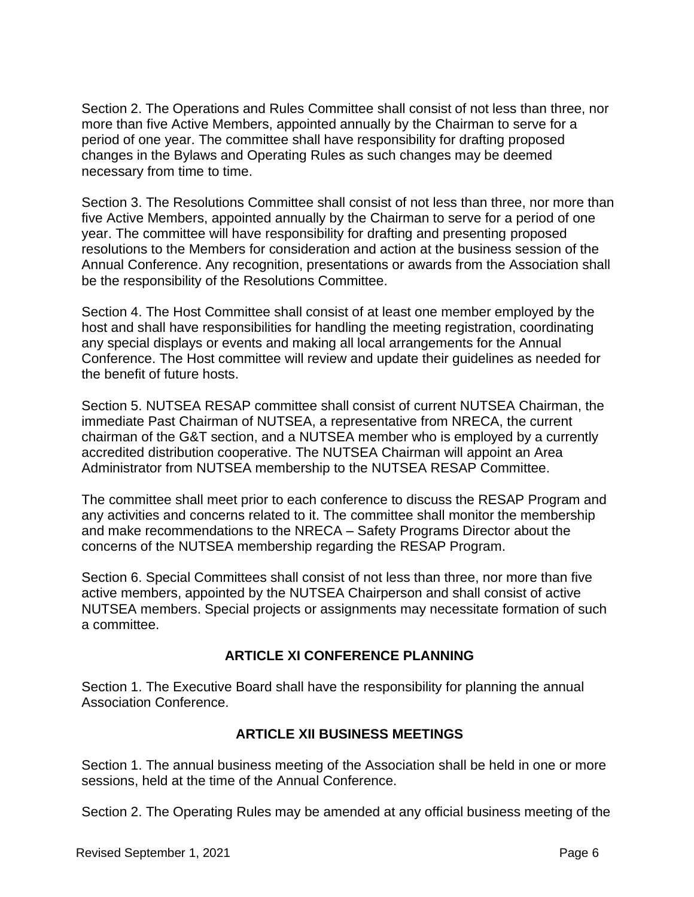Section 2. The Operations and Rules Committee shall consist of not less than three, nor more than five Active Members, appointed annually by the Chairman to serve for a period of one year. The committee shall have responsibility for drafting proposed changes in the Bylaws and Operating Rules as such changes may be deemed necessary from time to time.

Section 3. The Resolutions Committee shall consist of not less than three, nor more than five Active Members, appointed annually by the Chairman to serve for a period of one year. The committee will have responsibility for drafting and presenting proposed resolutions to the Members for consideration and action at the business session of the Annual Conference. Any recognition, presentations or awards from the Association shall be the responsibility of the Resolutions Committee.

Section 4. The Host Committee shall consist of at least one member employed by the host and shall have responsibilities for handling the meeting registration, coordinating any special displays or events and making all local arrangements for the Annual Conference. The Host committee will review and update their guidelines as needed for the benefit of future hosts.

Section 5. NUTSEA RESAP committee shall consist of current NUTSEA Chairman, the immediate Past Chairman of NUTSEA, a representative from NRECA, the current chairman of the G&T section, and a NUTSEA member who is employed by a currently accredited distribution cooperative. The NUTSEA Chairman will appoint an Area Administrator from NUTSEA membership to the NUTSEA RESAP Committee.

The committee shall meet prior to each conference to discuss the RESAP Program and any activities and concerns related to it. The committee shall monitor the membership and make recommendations to the NRECA – Safety Programs Director about the concerns of the NUTSEA membership regarding the RESAP Program.

Section 6. Special Committees shall consist of not less than three, nor more than five active members, appointed by the NUTSEA Chairperson and shall consist of active NUTSEA members. Special projects or assignments may necessitate formation of such a committee.

## **ARTICLE XI CONFERENCE PLANNING**

Section 1. The Executive Board shall have the responsibility for planning the annual Association Conference.

#### **ARTICLE XII BUSINESS MEETINGS**

Section 1. The annual business meeting of the Association shall be held in one or more sessions, held at the time of the Annual Conference.

Section 2. The Operating Rules may be amended at any official business meeting of the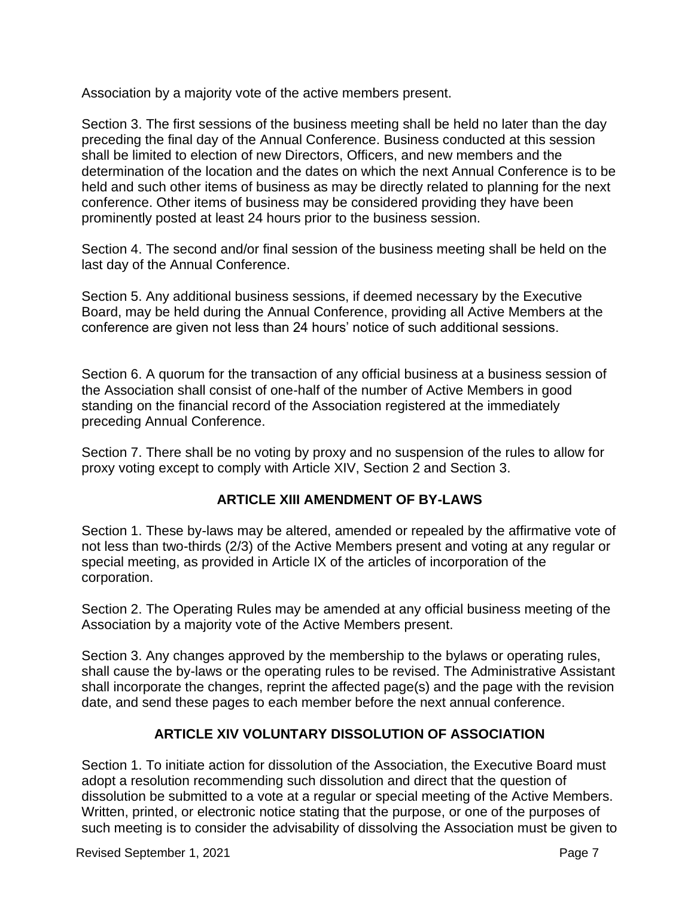Association by a majority vote of the active members present.

Section 3. The first sessions of the business meeting shall be held no later than the day preceding the final day of the Annual Conference. Business conducted at this session shall be limited to election of new Directors, Officers, and new members and the determination of the location and the dates on which the next Annual Conference is to be held and such other items of business as may be directly related to planning for the next conference. Other items of business may be considered providing they have been prominently posted at least 24 hours prior to the business session.

Section 4. The second and/or final session of the business meeting shall be held on the last day of the Annual Conference.

Section 5. Any additional business sessions, if deemed necessary by the Executive Board, may be held during the Annual Conference, providing all Active Members at the conference are given not less than 24 hours' notice of such additional sessions.

Section 6. A quorum for the transaction of any official business at a business session of the Association shall consist of one-half of the number of Active Members in good standing on the financial record of the Association registered at the immediately preceding Annual Conference.

Section 7. There shall be no voting by proxy and no suspension of the rules to allow for proxy voting except to comply with Article XIV, Section 2 and Section 3.

## **ARTICLE XIII AMENDMENT OF BY-LAWS**

Section 1. These by-laws may be altered, amended or repealed by the affirmative vote of not less than two-thirds (2/3) of the Active Members present and voting at any regular or special meeting, as provided in Article IX of the articles of incorporation of the corporation.

Section 2. The Operating Rules may be amended at any official business meeting of the Association by a majority vote of the Active Members present.

Section 3. Any changes approved by the membership to the bylaws or operating rules, shall cause the by-laws or the operating rules to be revised. The Administrative Assistant shall incorporate the changes, reprint the affected page(s) and the page with the revision date, and send these pages to each member before the next annual conference.

# **ARTICLE XIV VOLUNTARY DISSOLUTION OF ASSOCIATION**

Section 1. To initiate action for dissolution of the Association, the Executive Board must adopt a resolution recommending such dissolution and direct that the question of dissolution be submitted to a vote at a regular or special meeting of the Active Members. Written, printed, or electronic notice stating that the purpose, or one of the purposes of such meeting is to consider the advisability of dissolving the Association must be given to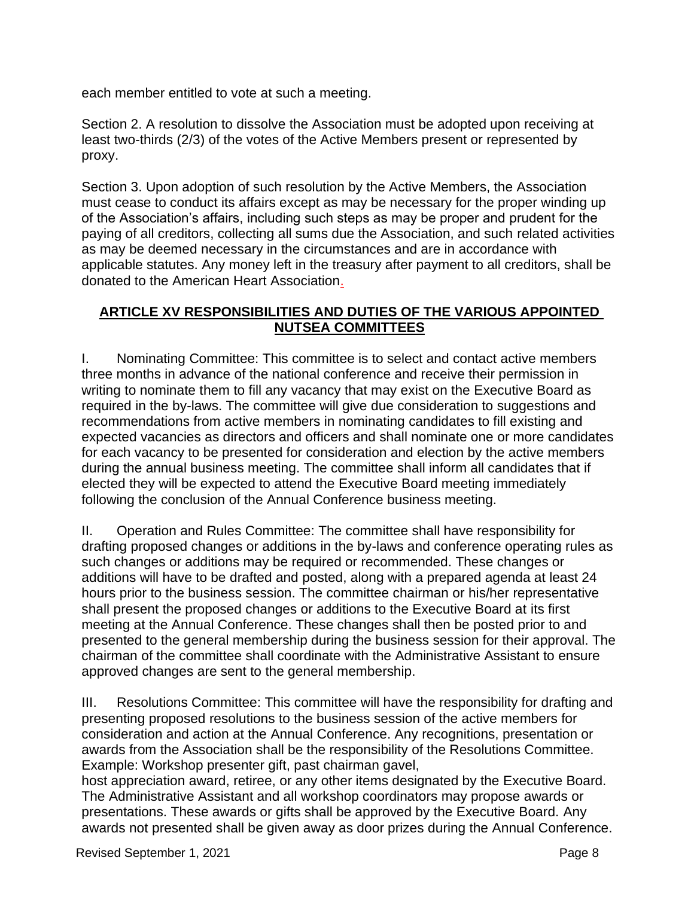each member entitled to vote at such a meeting.

Section 2. A resolution to dissolve the Association must be adopted upon receiving at least two-thirds (2/3) of the votes of the Active Members present or represented by proxy.

Section 3. Upon adoption of such resolution by the Active Members, the Association must cease to conduct its affairs except as may be necessary for the proper winding up of the Association's affairs, including such steps as may be proper and prudent for the paying of all creditors, collecting all sums due the Association, and such related activities as may be deemed necessary in the circumstances and are in accordance with applicable statutes. Any money left in the treasury after payment to all creditors, shall be donated to the American Heart Association.

#### **ARTICLE XV RESPONSIBILITIES AND DUTIES OF THE VARIOUS APPOINTED NUTSEA COMMITTEES**

I. Nominating Committee: This committee is to select and contact active members three months in advance of the national conference and receive their permission in writing to nominate them to fill any vacancy that may exist on the Executive Board as required in the by-laws. The committee will give due consideration to suggestions and recommendations from active members in nominating candidates to fill existing and expected vacancies as directors and officers and shall nominate one or more candidates for each vacancy to be presented for consideration and election by the active members during the annual business meeting. The committee shall inform all candidates that if elected they will be expected to attend the Executive Board meeting immediately following the conclusion of the Annual Conference business meeting.

II. Operation and Rules Committee: The committee shall have responsibility for drafting proposed changes or additions in the by-laws and conference operating rules as such changes or additions may be required or recommended. These changes or additions will have to be drafted and posted, along with a prepared agenda at least 24 hours prior to the business session. The committee chairman or his/her representative shall present the proposed changes or additions to the Executive Board at its first meeting at the Annual Conference. These changes shall then be posted prior to and presented to the general membership during the business session for their approval. The chairman of the committee shall coordinate with the Administrative Assistant to ensure approved changes are sent to the general membership.

III. Resolutions Committee: This committee will have the responsibility for drafting and presenting proposed resolutions to the business session of the active members for consideration and action at the Annual Conference. Any recognitions, presentation or awards from the Association shall be the responsibility of the Resolutions Committee. Example: Workshop presenter gift, past chairman gavel,

host appreciation award, retiree, or any other items designated by the Executive Board. The Administrative Assistant and all workshop coordinators may propose awards or presentations. These awards or gifts shall be approved by the Executive Board. Any awards not presented shall be given away as door prizes during the Annual Conference.